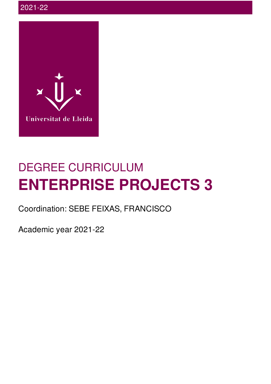

# DEGREE CURRICULUM **ENTERPRISE PROJECTS 3**

Coordination: SEBE FEIXAS, FRANCISCO

Academic year 2021-22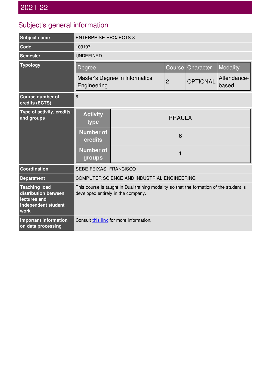## Subject's general information

| <b>Subject name</b>                                                                         | <b>ENTERPRISE PROJECTS 3</b>                                                                                                  |   |                |                            |                      |  |
|---------------------------------------------------------------------------------------------|-------------------------------------------------------------------------------------------------------------------------------|---|----------------|----------------------------|----------------------|--|
| Code                                                                                        | 103107                                                                                                                        |   |                |                            |                      |  |
| <b>Semester</b>                                                                             | <b>UNDEFINED</b>                                                                                                              |   |                |                            |                      |  |
| <b>Typology</b>                                                                             | Degree                                                                                                                        |   |                | Character<br><b>Course</b> | Modality             |  |
|                                                                                             | Master's Degree in Informatics<br>Engineering                                                                                 |   | $\overline{c}$ | <b>OPTIONAL</b>            | Attendance-<br>based |  |
| <b>Course number of</b><br>credits (ECTS)                                                   | 6                                                                                                                             |   |                |                            |                      |  |
| Type of activity, credits,<br>and groups                                                    | <b>Activity</b><br>type                                                                                                       |   | <b>PRAULA</b>  |                            |                      |  |
|                                                                                             | <b>Number of</b><br>credits                                                                                                   | 6 |                |                            |                      |  |
|                                                                                             | <b>Number of</b><br>groups                                                                                                    |   | 1              |                            |                      |  |
| Coordination                                                                                | SEBE FEIXAS, FRANCISCO                                                                                                        |   |                |                            |                      |  |
| <b>Department</b>                                                                           | COMPUTER SCIENCE AND INDUSTRIAL ENGINEERING                                                                                   |   |                |                            |                      |  |
| <b>Teaching load</b><br>distribution between<br>lectures and<br>independent student<br>work | This course is taught in Dual training modality so that the formation of the student is<br>developed entirely in the company. |   |                |                            |                      |  |
| <b>Important information</b><br>on data processing                                          | Consult this link for more information.                                                                                       |   |                |                            |                      |  |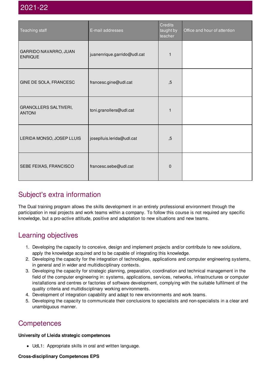| Teaching staff                          | E-mail addresses            | <b>Credits</b><br>taught by<br>teacher | Office and hour of attention |
|-----------------------------------------|-----------------------------|----------------------------------------|------------------------------|
| GARRIDO NAVARRO, JUAN<br><b>ENRIQUE</b> | juanenrique.garrido@udl.cat |                                        |                              |
| GINE DE SOLA, FRANCESC                  | francesc.gine@udl.cat       | , 5                                    |                              |
| GRANOLLERS SALTIVERI,<br><b>ANTONI</b>  | toni.granollers@udl.cat     | 1                                      |                              |
| LERIDA MONSO, JOSEP LLUIS               | joseplluis.lerida@udl.cat   | , 5                                    |                              |
| SEBE FEIXAS, FRANCISCO                  | francesc.sebe@udl.cat       | $\pmb{0}$                              |                              |

### Subject's extra information

The Dual training program allows the skills development in an entirely professional environment through the participation in real projects and work teams within a company. To follow this course is not required any specific knowledge, but a pro-active attitude, positive and adaptation to new situations and new teams.

### Learning objectives

- 1. Developing the capacity to conceive, design and implement projects and/or contribute to new solutions, apply the knowledge acquired and to be capable of integrating this knowledge.
- 2. Developing the capacity for the integration of technologies, applications and computer engineering systems, in general and in wider and multidisciplinary contexts.
- 3. Developing the capacity for strategic planning, preparation, coordination and technical management in the field of the computer engineering in: systems, applications, services, networks, infrastructures or computer installations and centres or factories of software development, complying with the suitable fulfilment of the quality criteria and multidisciplinary working environments.
- 4. Development of integration capability and adapt to new environments and work teams.
- 5. Developing the capacity to communicate their conclusions to specialists and non-specialists in a clear and unambiguous manner.

### **Competences**

#### **University of Lleida strategic competences**

UdL1: Appropriate skills in oral and written language.

**Cross-disciplinary Competences EPS**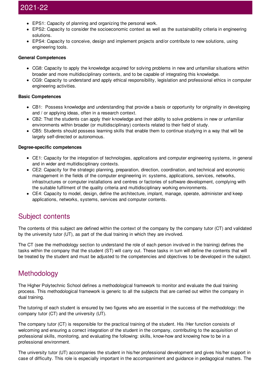- EPS1: Capacity of planning and organizing the personal work.
- EPS2: Capacity to consider the socioeconomic context as well as the sustainability criteria in engineering solutions.
- EPS4: Capacity to conceive, design and implement projects and/or contribute to new solutions, using engineering tools.

#### **General Competences**

- CG8: Capacity to apply the knowledge acquired for solving problems in new and unfamiliar situations within broader and more multidisciplinary contexts, and to be capable of integrating this knowledge.
- CG9: Capacity to understand and apply ethical responsibility, legislation and professional ethics in computer engineering activities.

#### **Basic Competences**

- CB1: Possess knowledge and understanding that provide a basis or opportunity for originality in developing and / or applying ideas, often in a research context.
- CB2: That the students can apply their knowledge and their ability to solve problems in new or unfamiliar environments within broader (or multidisciplinary) contexts related to their field of study.
- CB5: Students should possess learning skills that enable them to continue studying in a way that will be largely self-directed or autonomous.

#### **Degree-specific competences**

- CE1: Capacity for the integration of technologies, applications and computer engineering systems, in general and in wider and multidisciplinary contexts.
- CE2: Capacity for the strategic planning, preparation, direction, coordination, and technical and economic management in the fields of the computer engineering in: systems, applications, services, networks, infrastructures or computer installations and centres or factories of software development, complying with the suitable fulfilment of the quality criteria and multidisciplinary working environments.
- CE4: Capacity to model, design, define the architecture, implant, manage, operate, administer and keep applications, networks, systems, services and computer contents.

### Subject contents

The contents of this subject are defined within the context of the company by the company tutor (CT) and validated by the university tutor (UT), as part of the dual training in which they are involved.

The CT (see the methodology section to understand the role of each person involved in the training) defines the tasks within the company that the student (ST) will carry out. These tasks in turn will define the contents that will be treated by the student and must be adjusted to the competencies and objectives to be developed in the subject.

### Methodology

The Higher Polytechnic School defines a methodological framework to monitor and evaluate the dual training process. This methodological framework is generic to all the subjects that are carried out within the company in dual training.

The tutoring of each student is ensured by two figures who are essential in the success of the methodology: the company tutor (CT) and the university (UT).

The company tutor (CT) is responsible for the practical training of the student. His /Her function consists of welcoming and ensuring a correct integration of the student in the company, contributing to the acquisition of professional skills, monitoring, and evaluating the following: skills, know-how and knowing how to be in a professional environment.

The university tutor (UT) accompanies the student in his/her professional development and gives his/her support in case of difficulty. This role is especially important in the accompaniment and guidance in pedagogical matters. The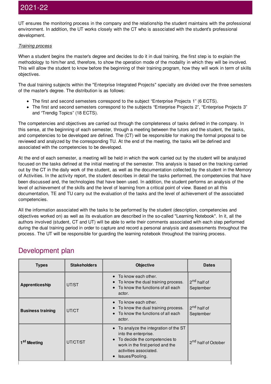UT ensures the monitoring process in the company and the relationship the student maintains with the professional environment. In addition, the UT works closely with the CT who is associated with the student's professional development.

#### *Training process*

When a student begins the master's degree and decides to do it in dual training, the first step is to explain the methodology to him/her and, therefore, to show the operation mode of the modality in which they will be involved. This will allow the student to know before the beginning of their training program, how they will work in term of skills objectives.

The dual training subjects within the "Enterprise Integrated Projects" specialty are divided over the three semesters of the master's degree. The distribution is as follows:

- The first and second semesters correspond to the subject "Enterprise Projects 1" (6 ECTS).
- The first and second semesters correspond to the subjects "Enterprise Projects 2", "Enterprise Projects 3" and "Trendig Topics" (18 ECTS).

The competencies and objectives are carried out through the completeness of tasks defined in the company. In this sense, at the beginning of each semester, through a meeting between the tutors and the student, the tasks, and competencies to be developed are defined. The (CT) will be responsible for making the formal proposal to be reviewed and analyzed by the corresponding TU. At the end of the meeting, the tasks will be defined and associated with the competencies to be developed.

At the end of each semester, a meeting will be held in which the work carried out by the student will be analyzed focused on the tasks defined at the initial meeting of the semester. This analysis is based on the tracking carried out by the CT in the daily work of the student, as well as the documentation collected by the student in the Memory of Activities. In the activity report, the student describes in detail the tasks performed, the competencies that have been discussed and, the technologies that have been used. In addition, the student performs an analysis of the level of achievement of the skills and the level of learning from a critical point of view. Based on all this documentation, TE and TU carry out the evaluation of the tasks and the level of achievement of the associated competencies.

All the information associated with the tasks to be performed by the student (description, competencies and objectives worked on) as well as its evaluation are described in the so-called "Learning Notebook". In it, all the authors involved (student, CT and UT) will be able to write their comments associated with each step performed during the dual training period in order to capture and record a personal analysis and assessments throughout the process. The UT will be responsible for guarding the learning notebook throughout the training process.

### Development plan

| <b>Types</b>             | <b>Stakeholders</b> | <b>Objective</b>                                                                                                                                                               | <b>Dates</b>                         |
|--------------------------|---------------------|--------------------------------------------------------------------------------------------------------------------------------------------------------------------------------|--------------------------------------|
| <b>Apprenticeship</b>    | UT/ST               | To know each other.<br>To know the dual training process.<br>$\bullet$<br>To know the functions of all each<br>actor.                                                          | 2 <sup>nd</sup> half of<br>September |
| <b>Business training</b> | UT/CT               | To know each other.<br>To know the dual training process.<br>To know the functions of all each<br>actor.                                                                       | 2 <sup>nd</sup> half of<br>September |
| 1 <sup>st</sup> Meeting  | UT/CT/ST            | To analyze the integration of the ST<br>into the enterprise.<br>To decide the competencies to<br>work in the first period and the<br>activities associated.<br>Issues/Pooling. | 2 <sup>nd</sup> half of October      |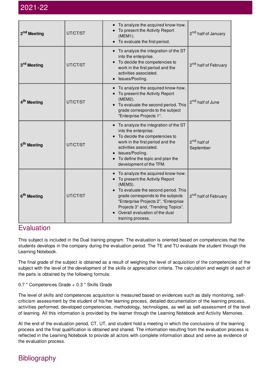| 2 <sup>nd</sup> Meeting | UT/CT/ST | To analyze the acquired know-how.<br>To present the Activity Report<br>(MEM1).<br>To evaluate the first period.                                                                                                                                                                                    | 2 <sup>nd</sup> half of January      |
|-------------------------|----------|----------------------------------------------------------------------------------------------------------------------------------------------------------------------------------------------------------------------------------------------------------------------------------------------------|--------------------------------------|
| 3 <sup>rd</sup> Meeting | UT/CT/ST | To analyze the integration of the ST<br>into the enterprise.<br>To decide the competencies to<br>work in the first period and the<br>activities associated.<br>Issues/Pooling.                                                                                                                     | 2 <sup>nd</sup> half of February     |
| 4 <sup>th</sup> Meeting | UT/CT/ST | To analyze the acquired know-how.<br>To present the Activity Report<br>(MEM2).<br>To evaluate the second period. This<br>grade corresponds to the subject<br>"Enterprise Projects 1".                                                                                                              | 2 <sup>nd</sup> half of June         |
| 5 <sup>th</sup> Meeting | UT/CT/ST | • To analyze the integration of the ST<br>into the enterprise.<br>To decide the competencies to<br>work in the first period and the<br>activities associated.<br>Issues/Pooling.<br>To define the topic and plan the<br>development of the TFM.                                                    | 2 <sup>nd</sup> half of<br>September |
| 6 <sup>th</sup> Meeting | UT/CT/ST | To analyze the acquired know-how.<br>To present the Activity Report<br>(MEM3).<br>• To evaluate the second period. This<br>grade corresponds to the subjects<br>"Enterprise Projects 2", "Enterprise<br>Projects 3" and, "Trending Topics".<br>Overall evaluation of the dual<br>training process. | 2 <sup>nd</sup> half of February     |

### **Evaluation**

This subject is included in the Dual training program. The evaluation is oriented based on competencies that the students develops in the company during the evaluation period. The TE and TU evaluate the student through the Learning Notebook.

The final grade of the subject is obtained as a result of weighing the level of acquisition of the competencies of the subject with the level of the development of the skills or appreciation criteria. The calculation and weight of each of the parts is obtained by the following formula:

0.7 \* Competences Grade + 0.3 \* Skills Grade

The level of skills and competences acquisition is measured based on evidences such as daily monitoring, selfcriticism assessment by the student of his/her learning process, detailed documentation of the learning process, activities performed, developed competencies, methodology, technologies, as well as self-assessment of the level of learning. All this information is provided by the learner through the Learning Notebook and Activity Memories.

At the end of the evaluation period, CT, UT, and student hold a meeting in which the conclusions of the learning process and the final qualification is obtained and shared. The information resulting from the evaluation process is reflected in the Learning Notebook to provide all actors with complete information about and serve as evidence of the evaluation process.

### **Bibliography**